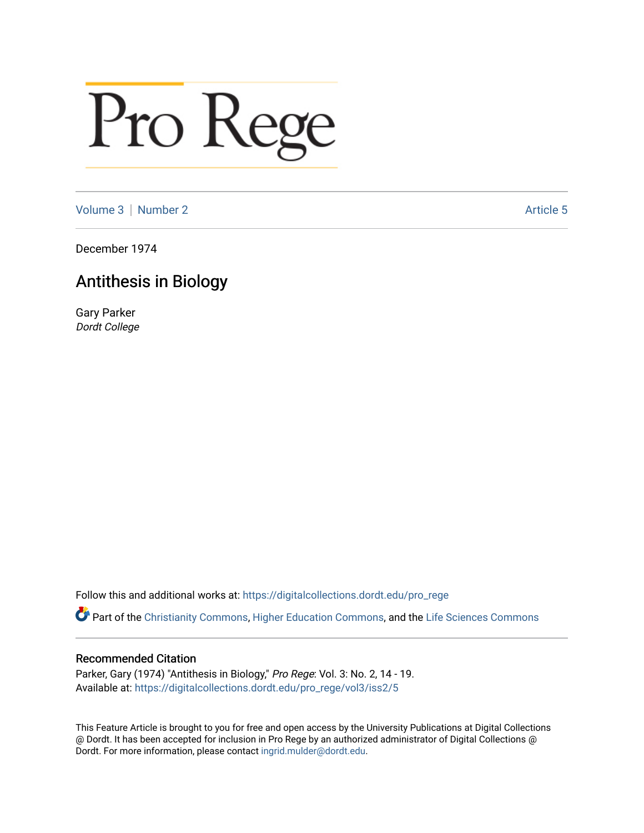## Pro Rege

[Volume 3](https://digitalcollections.dordt.edu/pro_rege/vol3) [Number 2](https://digitalcollections.dordt.edu/pro_rege/vol3/iss2) Article 5

December 1974

## Antithesis in Biology

Gary Parker Dordt College

Follow this and additional works at: [https://digitalcollections.dordt.edu/pro\\_rege](https://digitalcollections.dordt.edu/pro_rege?utm_source=digitalcollections.dordt.edu%2Fpro_rege%2Fvol3%2Fiss2%2F5&utm_medium=PDF&utm_campaign=PDFCoverPages) 

Part of the [Christianity Commons,](http://network.bepress.com/hgg/discipline/1181?utm_source=digitalcollections.dordt.edu%2Fpro_rege%2Fvol3%2Fiss2%2F5&utm_medium=PDF&utm_campaign=PDFCoverPages) [Higher Education Commons](http://network.bepress.com/hgg/discipline/1245?utm_source=digitalcollections.dordt.edu%2Fpro_rege%2Fvol3%2Fiss2%2F5&utm_medium=PDF&utm_campaign=PDFCoverPages), and the [Life Sciences Commons](http://network.bepress.com/hgg/discipline/1016?utm_source=digitalcollections.dordt.edu%2Fpro_rege%2Fvol3%2Fiss2%2F5&utm_medium=PDF&utm_campaign=PDFCoverPages) 

## Recommended Citation

Parker, Gary (1974) "Antithesis in Biology," Pro Rege: Vol. 3: No. 2, 14 - 19. Available at: [https://digitalcollections.dordt.edu/pro\\_rege/vol3/iss2/5](https://digitalcollections.dordt.edu/pro_rege/vol3/iss2/5?utm_source=digitalcollections.dordt.edu%2Fpro_rege%2Fvol3%2Fiss2%2F5&utm_medium=PDF&utm_campaign=PDFCoverPages) 

This Feature Article is brought to you for free and open access by the University Publications at Digital Collections @ Dordt. It has been accepted for inclusion in Pro Rege by an authorized administrator of Digital Collections @ Dordt. For more information, please contact [ingrid.mulder@dordt.edu.](mailto:ingrid.mulder@dordt.edu)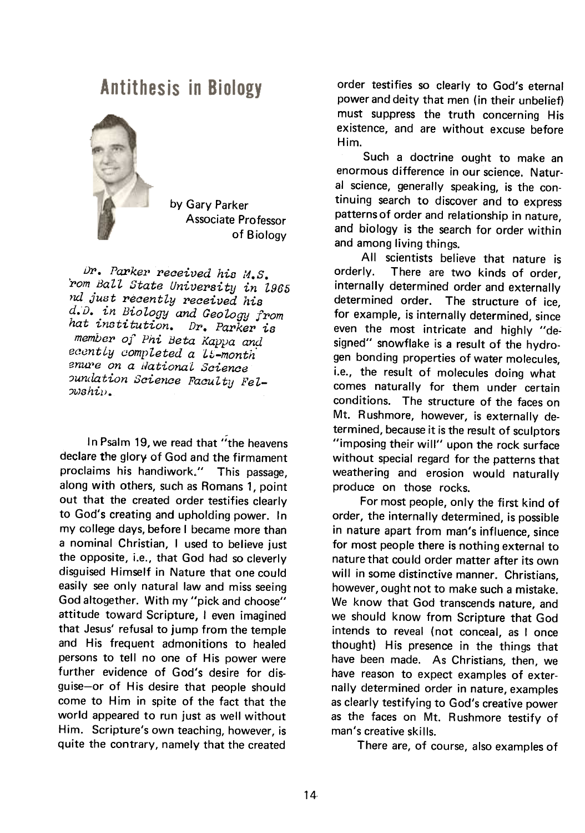## **Antithesis in Biology**



by Gary Parker Associate Professor of Biology

Dr. Parker received his  $M.S.$ pom Ball State University in 1965 nd just recently received his d.D. in Biology and Geology from hat institution. Dr. Parker is member of Phi Beta Kappa and ecently completed a *L*1-month enure on a National Science oundation Science Faculty Fel- $\omega shi\nu$ .

In Psalm 19, we read that "the heavens declare the glory of God and the firmament proclaims his handiwork." This passage, along with others, such as Romans 1, point out that the created order testifies clearly to God's creating and upholding power. In my college days, before I became more than a nominal Christian, I used to believe just the opposite, i.e., that God had so cleverly disguised Himself in Nature that one could easily see only natural law and miss seeing God altogether. With my "pick and choose" attitude toward Scripture, I even imagined that Jesus' refusal to jump from the temple and His frequent admonitions to healed persons to tell no one of His power were further evidence of God's desire for disguise-or of His desire that people should come to Him in spite of the fact that the world appeared to run just as well without Him. Scripture's own teaching, however, is quite the contrary, namely that the created

order testifies so clearly to God's eternal power and deity that men (in their unbelief) must suppress the truth concerning His existence, and are without excuse before Him.

Such a doctrine ought to make an enormous difference in our science. Natural science, generally speaking, is the continuing search to discover and to express patterns of order and relationship in nature, and biology is the search for order within and among living things.

All scientists believe that nature is orderly. There are two kinds of order, internally determined order and externally determined order. The structure of ice, for example, is internally determined, since even the most intricate and highly "designed" snowflake is a result of the hydrogen bonding properties of water molecules, i.e., the result of molecules doing what comes naturally for them under certain conditions. The structure of the faces on Mt. Rushmore, however, is externally determined, because it is the result of sculptors "imposing their will" upon the rock surface without special regard for the patterns that weathering and erosion would naturally produce on those rocks.

For most people, only the first kind of order, the internally determined, is possible in nature apart from man's influence, since for most people there is nothing external to nature that could order matter after its own will in some distinctive manner. Christians, however, ought not to make such a mistake. We know that God transcends nature, and we should know from Scripture that God intends to reveal (not conceal, as I once thought) His presence in the things that have been made. As Christians, then, we have reason to expect examples of externally determined order in nature, examples as clearly testifying to God's creative power as the faces on Mt. Rushmore testify of man's creative skills.

There are, of course, also examples of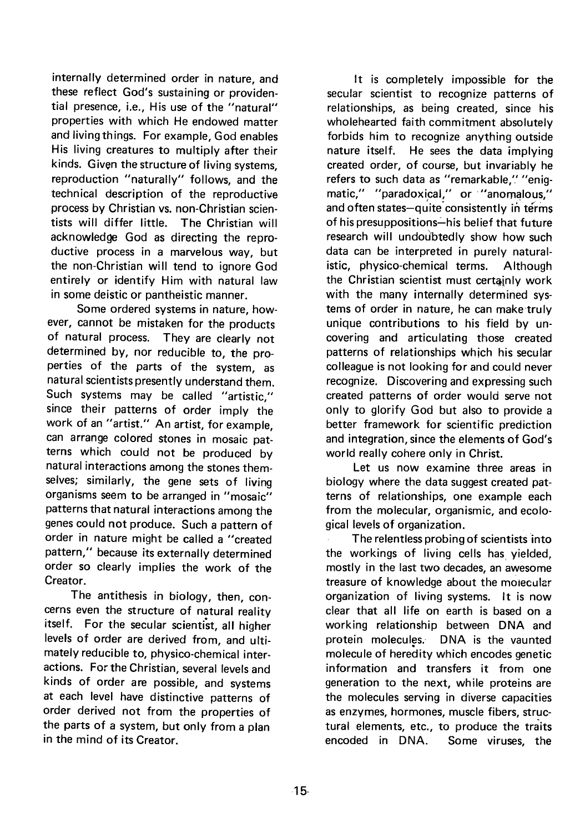internally determined order in nature, and these reflect God's sustaining or providential presence, i.e., His use of the "natural" properties with which He endowed matter and living things. For example, God enables His living creatures to multiply after their kinds. Given the structure of living systems, reproduction "naturally" follows, and the technical description of the reproductive process by Christian vs. non-Christian scientists will differ little. The Christian will acknowledge God as directing the reproductive process in a marvelous way, but the non-Christian will tend to ignore God entirely or identify Him with natural law in some deistic or pantheistic manner.

Some ordered systems in nature, however, cannot be mistaken for the products of natural process. They are clearly not determined by, nor reducible to, the properties of the parts of the system, as natural scientists presently understand them. Such systems may be called "artistic," since their patterns of order imply the work of an "artist." An artist, for example, can arrange colored stones in mosaic patterns which could not be produced by natural interactions among the stones themselves; similarly, the gene sets of living organisms seem to be arranged in "mosaic" patterns that natural interactions among the genes could not produce. Such a pattern of order in nature might be called a "created pattern," because its externally determined order so clearly implies the work of the Creator.

The antithesis in biology, then, concerns even the structure of natural reality itself. For the secular scientist, all higher levels of order are derived from, and ultimately reducible to, physico-chemical interactions. For the Christian, several levels and kinds of order are possible, and systems at each level have distinctive patterns of order derived not from the properties of the parts of a system, but only from a plan in the mind of its Creator.

It is completely impossible for the secular scientist to recognize patterns of relationships, as being created, since his wholehearted faith commitment absolutely forbids him to recognize anything outside nature itself. He sees the data implying created order, of course, but invariably he refers to such data as "remarkable," "enigmatic," "paradoxical," or "anomalous," and often states-quite consistently in terms of his presuppositions-his belief that future research will undoubtedly show how such data can be interpreted in purely naturalistic, physico-chemical terms. Although the Christian scientist must certainly work with the many internally determined systems of order in nature, he can make truly unique contributions to his field by uncovering and articulating those created patterns of relationships which his secular colleague is not looking for and could never recognize. Discovering and expressing such created patterns of order would serve not only to glorify God but also to provide a better framework tor scientific prediction and integration, since the elements of God's world really cohere only in Christ.

Let us now examine three areas in biology where the data suggest created patterns of relationships, one example each from the molecular, organismic, and ecological levels of organization.

The relentless probing of scientists into the workings of living cells has yielded, mostly in the last two decades, an awesome treasure of knowledge about the molecular organization of living systems. It is now clear that all life on earth is based on a working relationship between DNA and protein molecules. DNA is the vaunted molecule of heredity which encodes genetic information and transfers it from one generation to the next, while proteins are the molecules serving in diverse capacities as enzymes, hormones, muscle fibers, structural elements, etc., to produce the traits encoded in DNA. Some viruses, the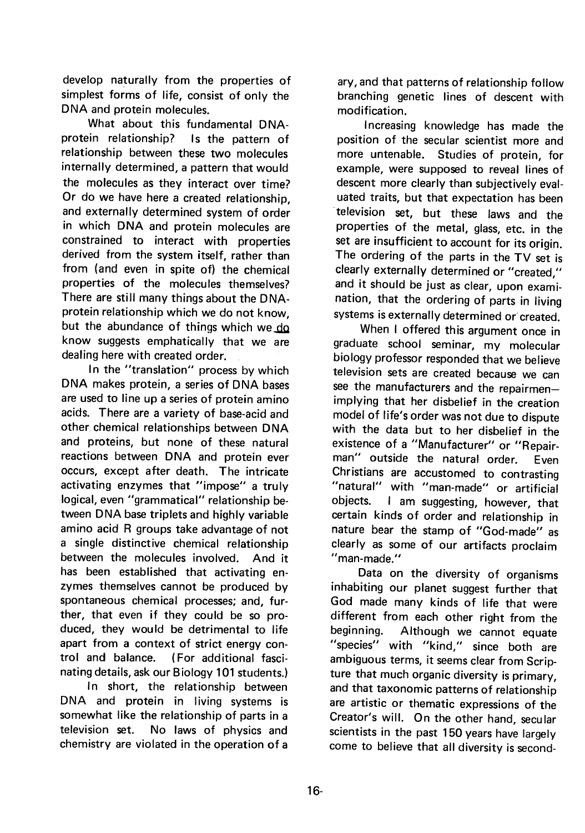develop naturally from the properties of simplest forms of life, consist of only the DNA and protein molecules.

What about this fundamental DNAprotein relationship? Is the pattern of relationship between these two molecules internally determined, a pattern that would the molecules as they interact over time? Or do we have here a created relationship, and externally determined system of order in which DNA and protein molecules are constrained to interact with properties derived from the system itself, rather than from (and even in spite of) the chemical properties of the molecules themselves? There are still many things about the DNAprotein relationship which we do not know, but the abundance of things which we do know suggests emphatically that we are dealing here with created order.

In the "translation" process by which DNA makes protein, a series of DNA bases are used to line up a series of protein amino acids. There are a variety of base-acid and other chemical relationships between DNA and proteins, but none of these natural reactions between DNA and protein ever occurs, except after death. The intricate activating enzymes that "impose" a truly logical, even "grammatical" relationship between DNA base triplets and highly variable amino acid R groups take advantage of not a single distinctive chemical relationship between the molecules involved. And it has been established that activating enzymes themselves cannot be produced by spontaneous chemical processes; and, further, that even if they could be so produced, they would be detrimental to life apart from a context of strict energy control and balance. (For additional fascinating details, ask our Biology 101 students.)

In short, the relationship between DNA and protein in living systems is somewhat like the relationship of parts in a television set. No laws of physics and chemistry are violated in the operation of a

ary, and that patterns of relationship follow branching genetic lines of descent with modification.

Increasing knowledge has made the position of the secular scientist more and more untenable. Studies of protein, for example, were supposed to reveal lines of descent more clearly than subjectively evaluated traits, but that expectation has been television set, but these laws and the properties of the metal, glass, etc. in the set are insufficient to account for its origin. The ordering of the parts in the TV set is clearly externally determined or "created," and it should be just as clear, upon examination, that the ordering of parts in living systems is externally determined or created.

When I offered this argument once in graduate school seminar, my molecular biology professor responded that we believe television sets are created because we can see the manufacturers and the repairmenimplying that her disbelief in the creation model of life's order was not due to dispute with the data but to her disbelief in the existence of a "Manufacturer" or "Repairman" outside the natural order. Even Christians are accustomed to contrasting "natural" with "man-made" or artificial objects. I am suggesting, however, that certain kinds of order and relationship in nature bear the stamp of "God-made" as clearly as some of our artifacts proclaim "man-made."

Data on the diversity of organisms inhabiting our planet suggest further that God made many kinds of life that were different from each other right from the beginning. Although we cannot equate "species" with "kind," since both are ambiguous terms, it seems clear from Scripture that much organic diversity is primary, and that taxonomic patterns of relationship are artistic or thematic expressions of the Creator's will. On the other hand, secular scientists in the past 150 years have largely come to believe that all diversity is second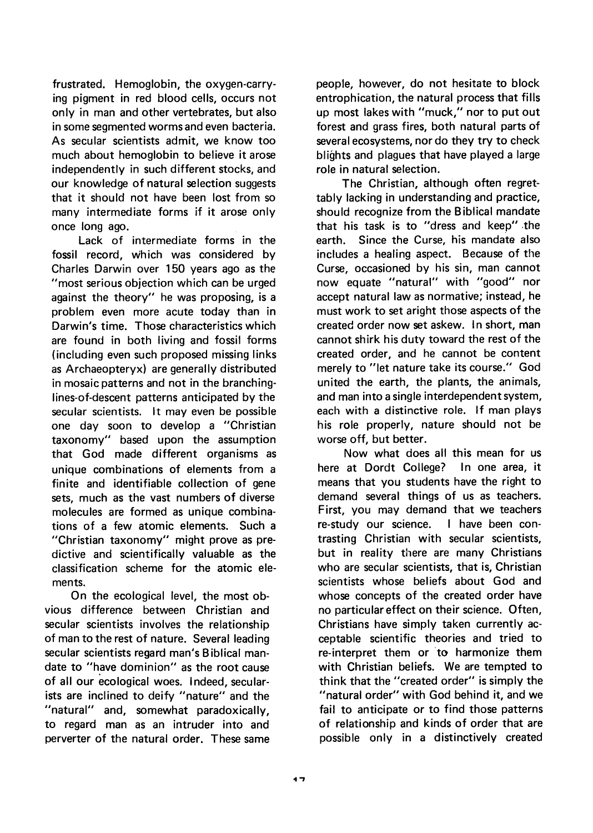frustrated. Hemoglobin, the oxygen-carrying pigment in red blood cells, occurs not only in man and other vertebrates, but also in some segmented worms and even bacteria. As secular scientists admit, we know too much about hemoglobin to believe it arose independently in such different stocks, and our knowledge of natural selection suggests that it should not have been lost from so many intermediate forms if it arose only once long ago.

Lack of intermediate forms in the fossil record, which was considered by Charles Darwin over 150 years ago as the "most serious objection which can be urged against the theory" he was proposing, is a problem even more acute today than in Darwin's time. Those characteristics which are found in both living and fossil forms (including even such proposed missing links as Archaeopteryx) are generally distributed in mosaic patterns and not in the branchinglines-of-descent patterns anticipated by the secular scientists. It may even be possible one day soon to develop a "Christian taxonomy" based upon the assumption that God made different organisms as unique combinations of elements from a finite and identifiable collection of gene sets, much as the vast numbers of diverse molecules are formed as unique combinations of a few atomic elements. Such a "Christian taxonomy" might prove as predictive and scientifically valuable as the classification scheme for the atomic elements.

On the ecological level, the most obvious difference between Christian and secular scientists involves the relationship of man to the rest of nature. Several leading secular scientists regard man's Biblical mandate to "have dominion" as the root cause of all our ecological woes. Indeed, secularists are inclined to deify "nature" and the "natural" and, somewhat paradoxically, to regard man as an intruder into and perverter of the natural order. These same

people, however, do not hesitate to block entrophication, the natural process that fills up most lakes with "muck," nor to put out forest and grass fires, both natural parts of several ecosystems, nor do they try to check blights and plagues that have played a large role in natural selection.

The Christian, although often regrettably lacking in understanding and practice, should recognize from the Biblical mandate that his task is to "dress and keep" .the earth. Since the Curse, his mandate also includes a healing aspect. Because of the Curse, occasioned by his sin, man cannot now equate "natural" with "good" nor accept natural law as normative; instead, he must work to set aright those aspects of the created order now set askew. In short, man cannot shirk his duty toward the rest of the created order, and he cannot be content merely to "let nature take its course." God united the earth, the plants, the animals, and man into a single interdependent system, each with a distinctive role. If man plays his role properly, nature should not be worse off, but better.

Now what does all this mean for us here at Dordt College? In one area, it means that you students have the right to demand several things of us as teachers. First, you may demand that we teachers re-study our science. I have been contrasting Christian with secular scientists, but in reality there are many Christians who are secular scientists, that is, Christian scientists whose beliefs about God and whose concepts of the created order have no particular effect on their science. Often, Christians have simply taken currently acceptable scientific theories and tried to re-interpret them or to harmonize them with Christian beliefs. We are tempted to think that the "created order" is simply the "natural order" with God behind it, and we fail to anticipate or to find those patterns of relationship and kinds of order that are possible only in a distinctively created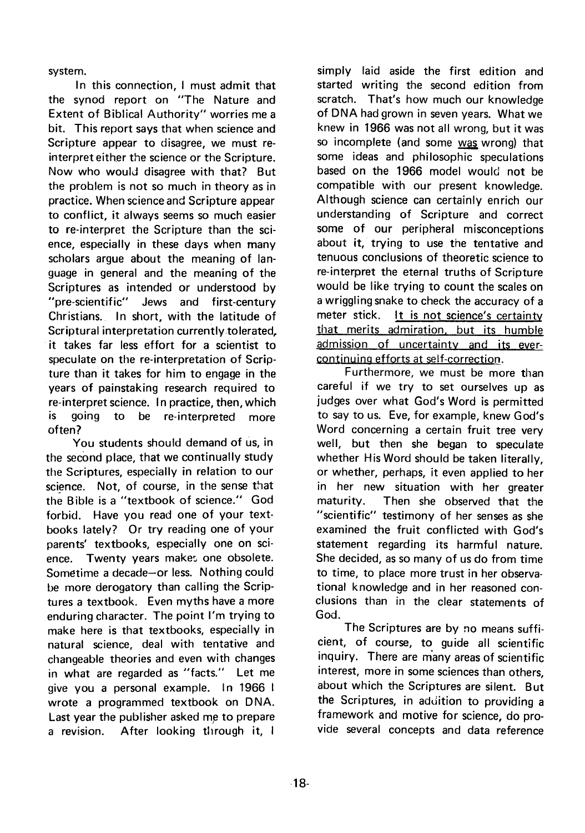system.

In this connection, I must admit that the synod report on "The Nature and Extent of Biblical Authority" worries me a bit. This report says that when science and Scripture appear to disagree, we must reinterpret either the science or the Scripture. Now who would disagree with that? But the problem is not so much in theory as in practice. When science and Scripture appear to conflict, it always seems so much easier to re-interpret the Scripture than the science, especially in these days when many scholars argue about the meaning of language in general and the meaning of the Scriptures as intended or understood by "pre-scientific" Jews and first-century Christians. In short, with the latitude of Scriptural interpretation currently tolerated, it takes far less effort for a scientist to speculate on the re-interpretation of Scripture than it takes for him to engage in the years of painstaking research required to re-interpret science. In practice, then, which is going to be re-interpreted more often?

You students should demand of us, in the second place, that we continually study the Scriptures, especially in relation to our science. Not, of course, in the sense that the Bible is a "textbook of science." God forbid. Have you read one of your textbooks lately? Or try reading one of your parents' textbooks, especially one on science. Twenty years makes one obsolete. Sometime a decade-or less. Nothing could be more derogatory than calling the Scriptures a textbook. Even myths have a more enduring character. The point I'm trying to make here is that textbooks, especially in natural science, deal with tentative and changeable theories and even with changes in what are regarded as "facts." Let me give you a personal example. In 1966 I wrote a programmed textbook on DNA. Last year the publisher asked me to prepare a revision. After looking through it, I

simply laid aside the first edition and started writing the second edition from scratch. That's how much our knowledge of DNA had grown in seven years. What we knew in 1966 was not all wrong, but it was so incomplete (and some was wrong) that some ideas and philosophic speculations based on the 1966 model would not be compatible with our present knowledge. Although science can certainly enrich our understanding of Scripture and correct some of our peripheral misconceptions about it, trying to use the tentative and tenuous conclusions of theoretic science to re-interpret the eternal truths of Scripture would be like trying to count the scales on a wriggling snake to check the accuracy of a meter stick. It is not science's certaintv that merits admiration. but its humble admission of uncertainty and its evercontinuina efforts at self-correction.

Furthermore, we must be more than careful if we try to set ourselves up as judges over what God's Word is permitted to say to us. Eve, for example, knew God's Word concerning a certain fruit tree very well, but then she began to speculate whether His Word should be taken literally, or whether, perhaps, it even applied to her in her new situation with her greater maturity. Then she observed that the "scientific" testimony of her senses as she examined the fruit conflicted with God's statement regarding its harmful nature. She decided, as so many of us do from time to time, to place more trust in her observational knowledge and in her reasoned conclusions than in the clear statements of God.

The Scriptures are by no means sufficient, of course, to guide all scientific inquiry. There are many areas of scientific interest, more in some sciences than others, about which the Scriptures are silent, But the Scriptures, in addition to providing a framework and motive for science, do provide several concepts and data reference